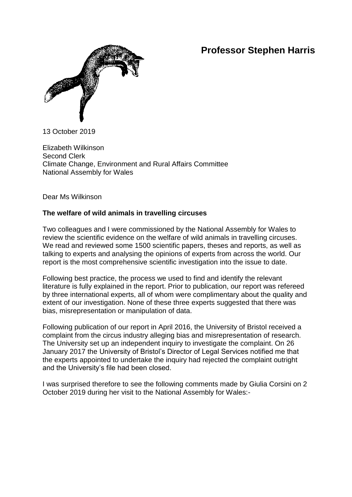## **Professor Stephen Harris**



13 October 2019

Elizabeth Wilkinson Second Clerk Climate Change, Environment and Rural Affairs Committee National Assembly for Wales

Dear Ms Wilkinson

## **The welfare of wild animals in travelling circuses**

Two colleagues and I were commissioned by the National Assembly for Wales to review the scientific evidence on the welfare of wild animals in travelling circuses. We read and reviewed some 1500 scientific papers, theses and reports, as well as talking to experts and analysing the opinions of experts from across the world. Our report is the most comprehensive scientific investigation into the issue to date.

Following best practice, the process we used to find and identify the relevant literature is fully explained in the report. Prior to publication, our report was refereed by three international experts, all of whom were complimentary about the quality and extent of our investigation. None of these three experts suggested that there was bias, misrepresentation or manipulation of data.

Following publication of our report in April 2016, the University of Bristol received a complaint from the circus industry alleging bias and misrepresentation of research. The University set up an independent inquiry to investigate the complaint. On 26 January 2017 the University of Bristol's Director of Legal Services notified me that the experts appointed to undertake the inquiry had rejected the complaint outright and the University's file had been closed.

I was surprised therefore to see the following comments made by Giulia Corsini on 2 October 2019 during her visit to the National Assembly for Wales:-